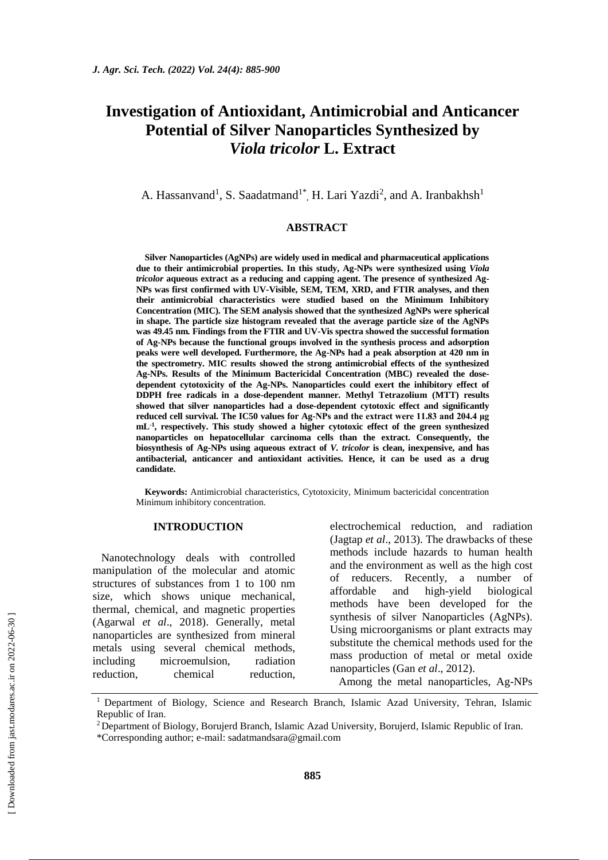# **Investigation of Antioxidant, Antimicrobial and Anticancer Potential of Silver Nanoparticles Synthesized by**  *Viola tricolor* **L. Extract**

A. Hassanvand<sup>1</sup>, S. Saadatmand<sup>1\*</sup>, H. Lari Yazdi<sup>2</sup>, and A. Iranbakhsh<sup>1</sup>

# **ABSTRACT**

**Silver Nanoparticles (AgNPs) are widely used in medical and pharmaceutical applications due to their antimicrobial properties. In this study, Ag-NPs were synthesized using** *Viola tricolor* **aqueous extract as a reducing and capping agent. The presence of synthesized Ag-NPs was first confirmed with UV-Visible, SEM, TEM, XRD, and FTIR analyses, and then their antimicrobial characteristics were studied based on the Minimum Inhibitory Concentration (MIC). The SEM analysis showed that the synthesized AgNPs were spherical in shape. The particle size histogram revealed that the average particle size of the AgNPs was 49.45 nm. Findings from the FTIR and UV-Vis spectra showed the successful formation of Ag-NPs because the functional groups involved in the synthesis process and adsorption peaks were well developed. Furthermore, the Ag-NPs had a peak absorption at 420 nm in the spectrometry. MIC results showed the strong antimicrobial effects of the synthesized Ag-NPs. Results of the Minimum Bactericidal Concentration (MBC) revealed the dosedependent cytotoxicity of the Ag-NPs. Nanoparticles could exert the inhibitory effect of DDPH free radicals in a dose-dependent manner. Methyl Tetrazolium (MTT) results showed that silver nanoparticles had a dose-dependent cytotoxic effect and significantly reduced cell survival. The IC50 values for Ag-NPs and the extract were 11.83 and 204.4 μg mL-1 , respectively. This study showed a higher cytotoxic effect of the green synthesized nanoparticles on hepatocellular carcinoma cells than the extract. Consequently, the biosynthesis of Ag-NPs using aqueous extract of** *V. tricolor* **is clean, inexpensive, and has antibacterial, anticancer and antioxidant activities. Hence, it can be used as a drug candidate.**

**Keywords:** Antimicrobial characteristics, Cytotoxicity, Minimum bactericidal concentration Minimum inhibitory concentration.

#### **INTRODUCTION**

Nanotechnology deals with controlled manipulation of the molecular and atomic structures of substances from 1 to 100 nm size, which shows unique mechanical, thermal, chemical, and magnetic properties (Agarwal *et al*., 2018). Generally, metal nanoparticles are synthesized from mineral metals using several chemical methods, including microemulsion, radiation reduction, chemical reduction, electrochemical reduction, and radiation (Jagtap *et al*., 2013). The drawbacks of these methods include hazards to human health and the environment as well as the high cost of reducers. Recently, a number of affordable and high-yield biological methods have been developed for the synthesis of silver Nanoparticles (AgNPs). Using microorganisms or plant extracts may substitute the chemical methods used for the mass production of metal or metal oxide nanoparticles (Gan *et al*., 2012).

Among the metal nanoparticles, Ag-NPs

 [\[ Downloaded from jast.modares.ac.ir on 2](https://jast.modares.ac.ir/article-23-48826-en.html)022-06-30 ] Downloaded from jast.modares.ac.ir on 2022-06-30]

<sup>&</sup>lt;sup>1</sup> Department of Biology, Science and Research Branch, Islamic Azad University, Tehran, Islamic Republic of Iran.

<sup>&</sup>lt;sup>2</sup> Department of Biology, Borujerd Branch, Islamic Azad University, Borujerd, Islamic Republic of Iran.

<sup>\*</sup>Corresponding author; e-mail: sadatmandsara@gmail.com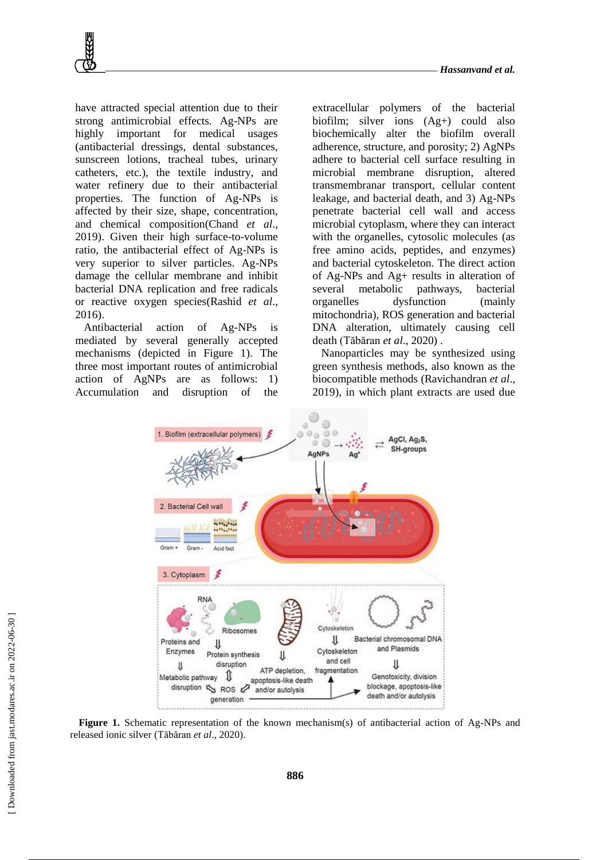

have attracted special attention due to their strong antimicrobial effects. Ag-NPs are highly important for medical usages (antibacterial dressings, dental substances, sunscreen lotions, tracheal tubes, urinary catheters, etc.), the textile industry, and water refinery due to their antibacterial properties. The function of Ag-NPs is affected by their size, shape, concentration, and chemical composition(Chand *et al*., 2019). Given their high surface-to-volume ratio, the antibacterial effect of Ag-NPs is very superior to silver particles. Ag-NPs damage the cellular membrane and inhibit bacterial DNA replication and free radicals or reactive oxygen species(Rashid *et al*., 2016).

Antibacterial action of Ag-NPs is mediated by several generally accepted mechanisms (depicted in Figure 1). The three most important routes of antimicrobial action of AgNPs are as follows: 1) Accumulation and disruption of the extracellular polymers of the bacterial biofilm; silver ions (Ag+) could also biochemically alter the biofilm overall adherence, structure, and porosity; 2) AgNPs adhere to bacterial cell surface resulting in microbial membrane disruption, altered transmembranar transport, cellular content leakage, and bacterial death, and 3) Ag-NPs penetrate bacterial cell wall and access microbial cytoplasm, where they can interact with the organelles, cytosolic molecules (as free amino acids, peptides, and enzymes) and bacterial cytoskeleton. The direct action of Ag-NPs and Ag+ results in alteration of several metabolic pathways, bacterial organelles dysfunction (mainly mitochondria), ROS generation and bacterial DNA alteration, ultimately causing cell death (Tăbăran *et al*., 2020) .

Nanoparticles may be synthesized using green synthesis methods, also known as the biocompatible methods (Ravichandran *et al*., 2019), in which plant extracts are used due



**Figure 1.** Schematic representation of the known mechanism(s) of antibacterial action of Ag-NPs and released ionic silver (Tăbăran *et al*., 2020).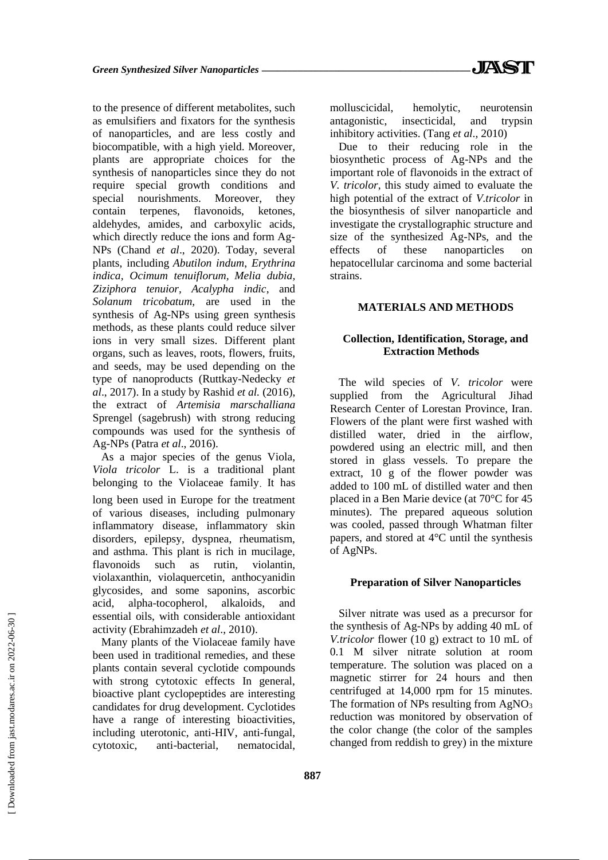to the presence of different metabolites, such as emulsifiers and fixators for the synthesis of nanoparticles, and are less costly and biocompatible, with a high yield. Moreover, plants are appropriate choices for the synthesis of nanoparticles since they do not require special growth conditions and special nourishments. Moreover, they contain terpenes, flavonoids, ketones, aldehydes, amides, and carboxylic acids, which directly reduce the ions and form Ag-NPs (Chand *et al*., 2020). Today, several plants, including *Abutilon indum*, *Erythrina indica, Ocimum tenuiflorum, Melia dubia, Ziziphora tenuior, Acalypha indic*, and *Solanum tricobatum,* are used in the synthesis of Ag-NPs using green synthesis methods, as these plants could reduce silver ions in very small sizes. Different plant organs, such as leaves, roots, flowers, fruits, and seeds, may be used depending on the type of nanoproducts (Ruttkay-Nedecky *et al*., 2017). In a study by Rashid *et al.* (2016), the extract of *Artemisia marschalliana* Sprengel (sagebrush) with strong reducing compounds was used for the synthesis of Ag-NPs (Patra *et al*., 2016).

As a major species of the genus Viola, *Viola tricolor* L. is a traditional plant belonging to the Violaceae family. It has long been used in Europe for the treatment of various diseases, including pulmonary inflammatory disease, inflammatory skin disorders, epilepsy, dyspnea, rheumatism, and asthma. This plant is rich in mucilage, flavonoids such as rutin, violantin, violaxanthin, violaquercetin, anthocyanidin glycosides, and some saponins, ascorbic acid, alpha-tocopherol, alkaloids, and essential oils, with considerable antioxidant activity (Ebrahimzadeh *et al*., 2010).

Many plants of the Violaceae family have been used in traditional remedies, and these plants contain several cyclotide compounds with strong cytotoxic effects In general, bioactive plant cyclopeptides are interesting candidates for drug development. Cyclotides have a range of interesting bioactivities, including uterotonic, anti-HIV, anti-fungal, cytotoxic, anti-bacterial, nematocidal, molluscicidal, hemolytic, neurotensin antagonistic, insecticidal, and trypsin inhibitory activities. (Tang *et al*., 2010)

Due to their reducing role in the biosynthetic process of Ag-NPs and the important role of flavonoids in the extract of *V. tricolor*, this study aimed to evaluate the high potential of the extract of *V.tricolor* in the biosynthesis of silver nanoparticle and investigate the crystallographic structure and size of the synthesized Ag-NPs, and the effects of these nanoparticles on hepatocellular carcinoma and some bacterial strains.

# **MATERIALS AND METHODS**

# **Collection, Identification, Storage, and Extraction Methods**

The wild species of *V. tricolor* were supplied from the Agricultural Jihad Research Center of Lorestan Province, Iran. Flowers of the plant were first washed with distilled water, dried in the airflow, powdered using an electric mill, and then stored in glass vessels. To prepare the extract, 10 g of the flower powder was added to 100 mL of distilled water and then placed in a Ben Marie device (at 70°C for 45 minutes). The prepared aqueous solution was cooled, passed through Whatman filter papers, and stored at 4°C until the synthesis of AgNPs.

# **Preparation of Silver Nanoparticles**

Silver nitrate was used as a precursor for the synthesis of Ag-NPs by adding 40 mL of *V.tricolor* flower (10 g) extract to 10 mL of 0.1 M silver nitrate solution at room temperature. The solution was placed on a magnetic stirrer for 24 hours and then centrifuged at 14,000 rpm for 15 minutes. The formation of NPs resulting from  $AgNO<sub>3</sub>$ reduction was monitored by observation of the color change (the color of the samples changed from reddish to grey) in the mixture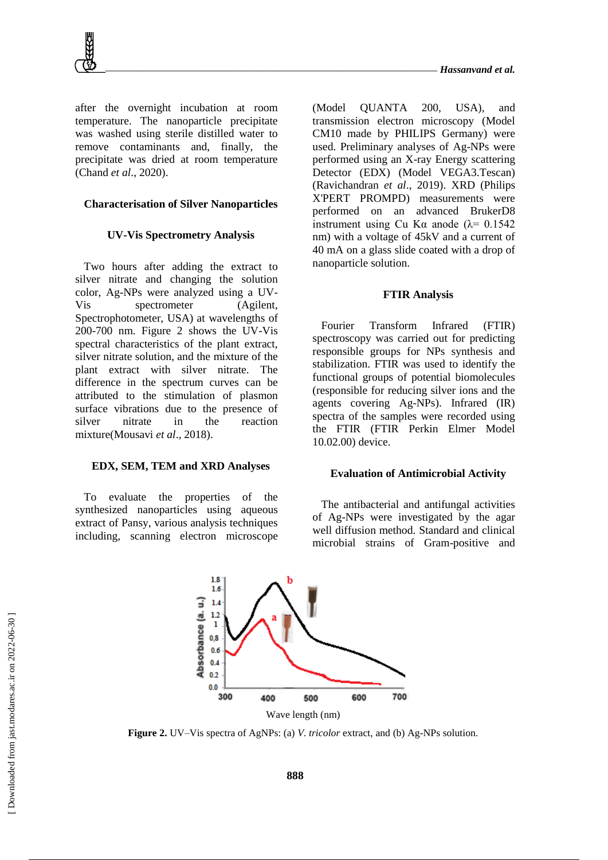after the overnight incubation at room temperature. The nanoparticle precipitate was washed using sterile distilled water to remove contaminants and, finally, the precipitate was dried at room temperature (Chand *et al*., 2020).

# **Characterisation of Silver Nanoparticles**

# **UV-Vis Spectrometry Analysis**

Two hours after adding the extract to silver nitrate and changing the solution color, Ag-NPs were analyzed using a UV-Vis spectrometer (Agilent, Spectrophotometer, USA) at wavelengths of 200-700 nm. Figure 2 shows the UV-Vis spectral characteristics of the plant extract, silver nitrate solution, and the mixture of the plant extract with silver nitrate. The difference in the spectrum curves can be attributed to the stimulation of plasmon surface vibrations due to the presence of silver nitrate in the reaction mixture(Mousavi *et al*., 2018).

# **EDX, SEM, TEM and XRD Analyses**

To evaluate the properties of the synthesized nanoparticles using aqueous extract of Pansy, various analysis techniques including, scanning electron microscope (Model QUANTA 200, USA), and transmission electron microscopy (Model CM10 made by PHILIPS Germany) were used. Preliminary analyses of Ag-NPs were performed using an X-ray Energy scattering Detector (EDX) (Model VEGA3.Tescan) (Ravichandran *et al*., 2019). XRD (Philips X'PERT PROMPD) measurements were performed on an advanced BrukerD8 instrument using Cu Kα anode ( $λ = 0.1542$ ) nm) with a voltage of 45kV and a current of 40 mA on a glass slide coated with a drop of nanoparticle solution.

#### **FTIR Analysis**

Fourier Transform Infrared (FTIR) spectroscopy was carried out for predicting responsible groups for NPs synthesis and stabilization. FTIR was used to identify the functional groups of potential biomolecules (responsible for reducing silver ions and the agents covering Ag-NPs). Infrared (IR) spectra of the samples were recorded using the FTIR (FTIR Perkin Elmer Model 10.02.00) device.

# **Evaluation of Antimicrobial Activity**

The antibacterial and antifungal activities of Ag-NPs were investigated by the agar well diffusion method. Standard and clinical microbial strains of Gram-positive and



**Figure 2.** UV–Vis spectra of AgNPs: (a) *V. tricolor* extract, and (b) Ag-NPs solution.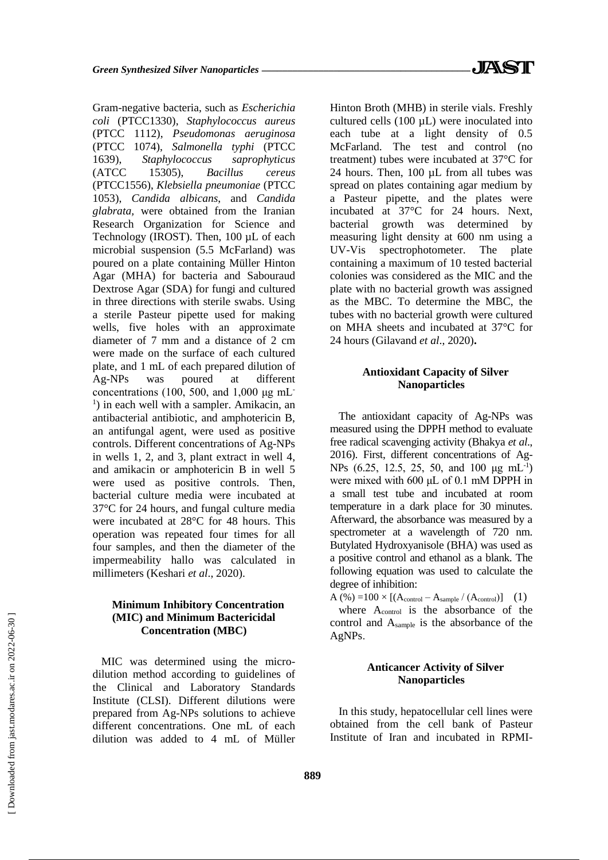Gram-negative bacteria, such as *Escherichia coli* (PTCC1330), *Staphylococcus aureus* (PTCC 1112), *Pseudomonas aeruginosa* (PTCC 1074), *Salmonella typhi* (PTCC 1639), *Staphylococcus saprophyticus* (ATCC 15305), *Bacillus cereus* (PTCC1556), *Klebsiella pneumoniae* (PTCC 1053), *Candida albicans*, and *Candida glabrata,* were obtained from the Iranian Research Organization for Science and Technology (IROST). Then, 100 µL of each microbial suspension (5.5 McFarland) was poured on a plate containing Müller Hinton Agar (MHA) for bacteria and Sabouraud Dextrose Agar (SDA) for fungi and cultured in three directions with sterile swabs. Using a sterile Pasteur pipette used for making wells, five holes with an approximate diameter of 7 mm and a distance of 2 cm were made on the surface of each cultured plate, and 1 mL of each prepared dilution of Ag-NPs was poured at different concentrations (100, 500, and 1,000  $\mu$ g mL <sup>1</sup>) in each well with a sampler. Amikacin, an antibacterial antibiotic, and amphotericin B, an antifungal agent, were used as positive controls. Different concentrations of Ag-NPs in wells 1, 2, and 3, plant extract in well 4, and amikacin or amphotericin B in well 5 were used as positive controls. Then, bacterial culture media were incubated at 37°C for 24 hours, and fungal culture media were incubated at 28°C for 48 hours. This operation was repeated four times for all four samples, and then the diameter of the impermeability hallo was calculated in millimeters (Keshari *et al*., 2020).

# **Minimum Inhibitory Concentration (MIC) and Minimum Bactericidal Concentration (MBC)**

MIC was determined using the microdilution method according to guidelines of the Clinical and Laboratory Standards Institute (CLSI). Different dilutions were prepared from Ag-NPs solutions to achieve different concentrations. One mL of each dilution was added to 4 mL of Müller Hinton Broth (MHB) in sterile vials. Freshly cultured cells  $(100 \mu L)$  were inoculated into each tube at a light density of 0.5 McFarland. The test and control (no treatment) tubes were incubated at 37°C for 24 hours. Then, 100 µL from all tubes was spread on plates containing agar medium by a Pasteur pipette, and the plates were incubated at 37°C for 24 hours. Next, bacterial growth was determined by measuring light density at 600 nm using a UV-Vis spectrophotometer. The plate containing a maximum of 10 tested bacterial colonies was considered as the MIC and the plate with no bacterial growth was assigned as the MBC. To determine the MBC, the tubes with no bacterial growth were cultured on MHA sheets and incubated at 37°C for 24 hours (Gilavand *et al*., 2020)**.**

# **Antioxidant Capacity of Silver Nanoparticles**

The antioxidant capacity of Ag-NPs was measured using the DPPH method to evaluate free radical scavenging activity (Bhakya *et al*., 2016). First, different concentrations of Ag-NPs (6.25, 12.5, 25, 50, and 100 μg mL<sup>-1</sup>) were mixed with 600 μL of 0.1 mM DPPH in a small test tube and incubated at room temperature in a dark place for 30 minutes. Afterward, the absorbance was measured by a spectrometer at a wavelength of 720 nm. Butylated Hydroxyanisole (BHA) was used as a positive control and ethanol as a blank. The following equation was used to calculate the degree of inhibition:

 $A (%) =100 \times [(A_{control} - A_{sample} / (A_{control})]$  (1) where A<sub>control</sub> is the absorbance of the control and Asample is the absorbance of the AgNPs.

# **Anticancer Activity of Silver Nanoparticles**

In this study, hepatocellular cell lines were obtained from the cell bank of Pasteur Institute of Iran and incubated in RPMI-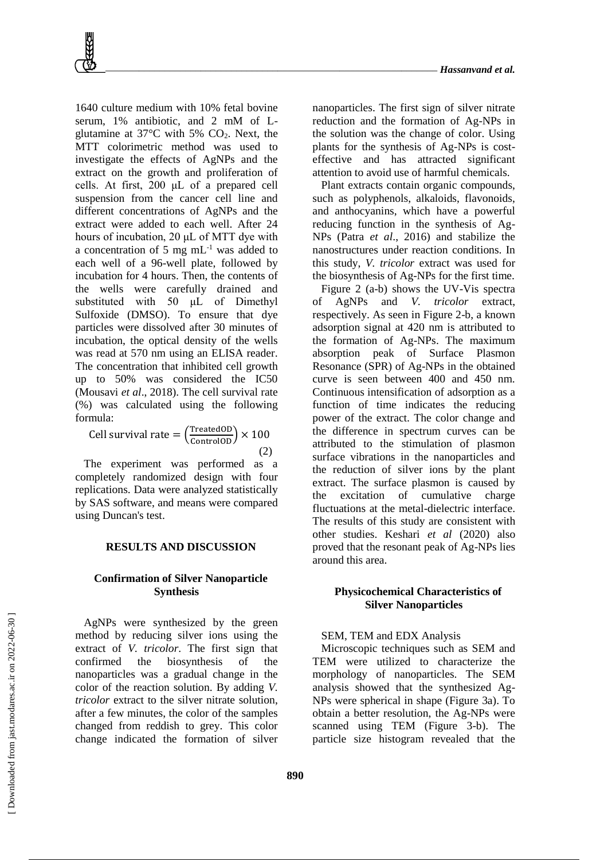1640 culture medium with 10% fetal bovine serum, 1% antibiotic, and 2 mM of Lglutamine at  $37^{\circ}$ C with 5% CO<sub>2</sub>. Next, the MTT colorimetric method was used to investigate the effects of AgNPs and the extract on the growth and proliferation of cells. At first, 200 μL of a prepared cell suspension from the cancer cell line and different concentrations of AgNPs and the extract were added to each well. After 24 hours of incubation, 20 μL of MTT dye with a concentration of 5 mg mL-1 was added to each well of a 96-well plate, followed by incubation for 4 hours. Then, the contents of the wells were carefully drained and substituted with 50 μL of Dimethyl Sulfoxide (DMSO). To ensure that dye particles were dissolved after 30 minutes of incubation, the optical density of the wells was read at 570 nm using an ELISA reader. The concentration that inhibited cell growth up to 50% was considered the IC50 (Mousavi *et al*., 2018). The cell survival rate (%) was calculated using the following formula:

Cell survival rate = 
$$
\left(\frac{\text{TreatedOD}}{\text{ControlOD}}\right) \times 100
$$
 (2)

The experiment was performed as a completely randomized design with four replications. Data were analyzed statistically by SAS software, and means were compared using Duncan's test.

# **RESULTS AND DISCUSSION**

# **Confirmation of Silver Nanoparticle Synthesis**

AgNPs were synthesized by the green method by reducing silver ions using the extract of *V. tricolor*. The first sign that confirmed the biosynthesis of the nanoparticles was a gradual change in the color of the reaction solution. By adding *V. tricolor* extract to the silver nitrate solution, after a few minutes, the color of the samples changed from reddish to grey. This color change indicated the formation of silver

nanoparticles. The first sign of silver nitrate reduction and the formation of Ag-NPs in the solution was the change of color. Using plants for the synthesis of Ag-NPs is costeffective and has attracted significant attention to avoid use of harmful chemicals.

Plant extracts contain organic compounds, such as polyphenols, alkaloids, flavonoids, and anthocyanins, which have a powerful reducing function in the synthesis of Ag-NPs (Patra *et al*., 2016) and stabilize the nanostructures under reaction conditions. In this study, *V. tricolor* extract was used for the biosynthesis of Ag-NPs for the first time.

Figure 2 (a-b) shows the UV-Vis spectra of AgNPs and *V. tricolor* extract, respectively. As seen in Figure 2-b, a known adsorption signal at 420 nm is attributed to the formation of Ag-NPs. The maximum absorption peak of Surface Plasmon Resonance (SPR) of Ag-NPs in the obtained curve is seen between 400 and 450 nm. Continuous intensification of adsorption as a function of time indicates the reducing power of the extract. The color change and the difference in spectrum curves can be attributed to the stimulation of plasmon surface vibrations in the nanoparticles and the reduction of silver ions by the plant extract. The surface plasmon is caused by the excitation of cumulative charge fluctuations at the metal-dielectric interface. The results of this study are consistent with other studies. Keshari *et al* (2020) also proved that the resonant peak of Ag-NPs lies around this area.

# **Physicochemical Characteristics of Silver Nanoparticles**

#### SEM, TEM and EDX Analysis

Microscopic techniques such as SEM and TEM were utilized to characterize the morphology of nanoparticles. The SEM analysis showed that the synthesized Ag-NPs were spherical in shape (Figure 3a). To obtain a better resolution, the Ag-NPs were scanned using TEM (Figure 3-b). The particle size histogram revealed that the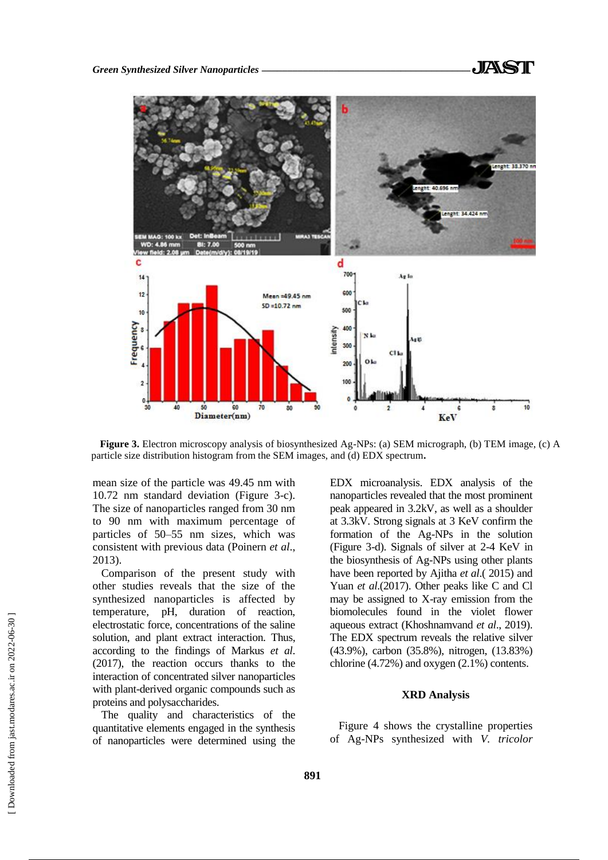

**Figure 3.** Electron microscopy analysis of biosynthesized Ag-NPs: (a) SEM micrograph, (b) TEM image, (c) A particle size distribution histogram from the SEM images, and (d) EDX spectrum**.**

mean size of the particle was 49.45 nm with 10.72 nm standard deviation (Figure 3-c). The size of nanoparticles ranged from 30 nm to 90 nm with maximum percentage of particles of 50–55 nm sizes, which was consistent with previous data (Poinern *et al*., 2013).

Comparison of the present study with other studies reveals that the size of the synthesized nanoparticles is affected by temperature, pH, duration of reaction, electrostatic force, concentrations of the saline solution, and plant extract interaction. Thus, according to the findings of Markus *et al*. (2017), the reaction occurs thanks to the interaction of concentrated silver nanoparticles with plant-derived organic compounds such as proteins and polysaccharides.

The quality and characteristics of the quantitative elements engaged in the synthesis of nanoparticles were determined using the EDX microanalysis. EDX analysis of the nanoparticles revealed that the most prominent peak appeared in 3.2kV, as well as a shoulder at 3.3kV. Strong signals at 3 KeV confirm the formation of the Ag-NPs in the solution (Figure 3-d). Signals of silver at 2-4 KeV in the biosynthesis of Ag-NPs using other plants have been reported by Ajitha *et al*.( 2015) and Yuan *et al*.(2017). Other peaks like C and Cl may be assigned to X-ray emission from the biomolecules found in the violet flower aqueous extract (Khoshnamvand *et al*., 2019). The EDX spectrum reveals the relative silver (43.9%), carbon (35.8%), nitrogen, (13.83%) chlorine (4.72%) and oxygen (2.1%) contents.

# **XRD Analysis**

Figure 4 shows the crystalline properties of Ag-NPs synthesized with *V. tricolor*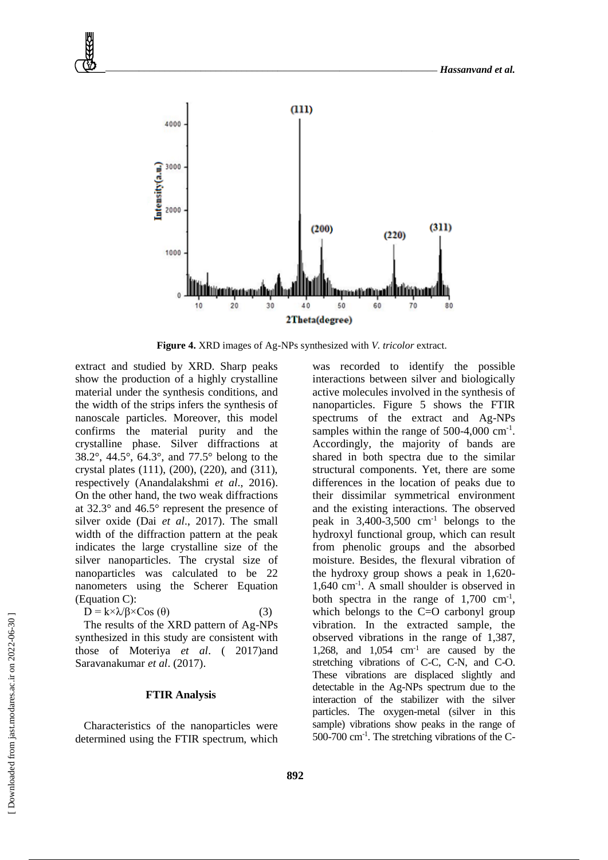

**Figure 4.** XRD images of Ag-NPs synthesized with *V. tricolor* extract.

extract and studied by XRD. Sharp peaks show the production of a highly crystalline material under the synthesis conditions, and the width of the strips infers the synthesis of nanoscale particles. Moreover, this model confirms the material purity and the crystalline phase. Silver diffractions at 38.2°, 44.5°, 64.3°, and 77.5° belong to the crystal plates (111), (200), (220), and (311), respectively (Anandalakshmi *et al*., 2016). On the other hand, the two weak diffractions at 32.3° and 46.5° represent the presence of silver oxide (Dai *et al*., 2017). The small width of the diffraction pattern at the peak indicates the large crystalline size of the silver nanoparticles. The crystal size of nanoparticles was calculated to be 22 nanometers using the Scherer Equation (Equation C):

$$
D = k \times \lambda / \beta \times \text{Cos}(\theta) \tag{3}
$$

The results of the XRD pattern of Ag-NPs synthesized in this study are consistent with those of Moteriya *et al*. ( 2017)and Saravanakumar *et al*. (2017).

# **FTIR Analysis**

Characteristics of the nanoparticles were determined using the FTIR spectrum, which

was recorded to identify the possible interactions between silver and biologically active molecules involved in the synthesis of nanoparticles. Figure 5 shows the FTIR spectrums of the extract and Ag-NPs samples within the range of  $500-4,000$  cm<sup>-1</sup>. Accordingly, the majority of bands are shared in both spectra due to the similar structural components. Yet, there are some differences in the location of peaks due to their dissimilar symmetrical environment and the existing interactions. The observed peak in  $3,400-3,500$  cm<sup>-1</sup> belongs to the hydroxyl functional group, which can result from phenolic groups and the absorbed moisture. Besides, the flexural vibration of the hydroxy group shows a peak in 1,620- 1,640 cm-1 . A small shoulder is observed in both spectra in the range of  $1,700 \text{ cm}^{-1}$ , which belongs to the C=O carbonyl group vibration. In the extracted sample, the observed vibrations in the range of 1,387, 1,268, and 1,054 cm-1 are caused by the stretching vibrations of C-C, C-N, and C-O. These vibrations are displaced slightly and detectable in the Ag-NPs spectrum due to the interaction of the stabilizer with the silver particles. The oxygen-metal (silver in this sample) vibrations show peaks in the range of 500-700 cm-1 . The stretching vibrations of the C-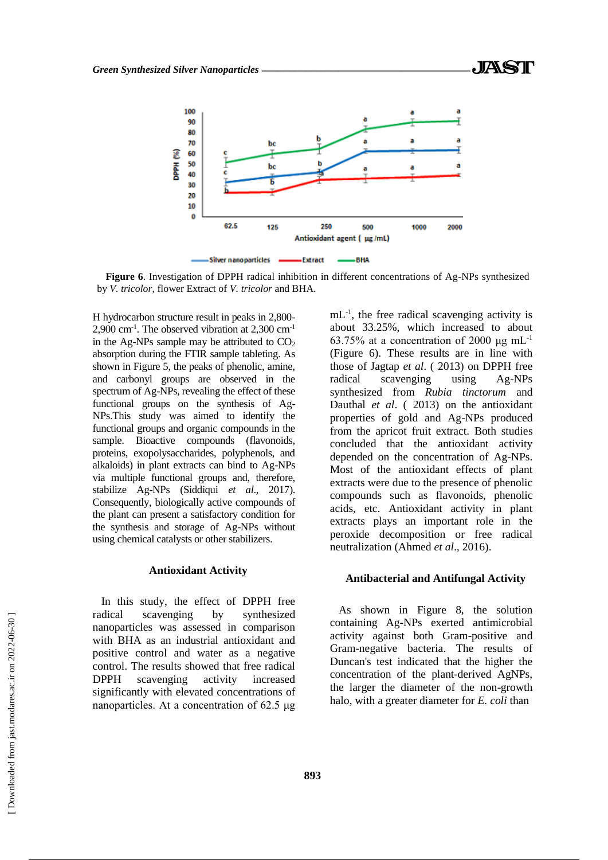

**Figure 6**. Investigation of DPPH radical inhibition in different concentrations of Ag-NPs synthesized by *V. tricolor*, flower Extract of *V. tricolor* and BHA.

H hydrocarbon structure result in peaks in 2,800- 2,900 cm-1 . The observed vibration at 2,300 cm-1 in the Ag-NPs sample may be attributed to  $CO<sub>2</sub>$ absorption during the FTIR sample tableting. As shown in Figure 5, the peaks of phenolic, amine, and carbonyl groups are observed in the spectrum of Ag-NPs, revealing the effect of these functional groups on the synthesis of Ag-NPs.This study was aimed to identify the functional groups and organic compounds in the sample. Bioactive compounds (flavonoids, proteins, exopolysaccharides, polyphenols, and alkaloids) in plant extracts can bind to Ag-NPs via multiple functional groups and, therefore, stabilize Ag-NPs (Siddiqui *et al*., 2017). Consequently, biologically active compounds of the plant can present a satisfactory condition for the synthesis and storage of Ag-NPs without using chemical catalysts or other stabilizers.

#### **Antioxidant Activity**

In this study, the effect of DPPH free radical scavenging by synthesized nanoparticles was assessed in comparison with BHA as an industrial antioxidant and positive control and water as a negative control. The results showed that free radical DPPH scavenging activity increased significantly with elevated concentrations of nanoparticles. At a concentration of 62.5 μg

mL-1 , the free radical scavenging activity is about 33.25%, which increased to about 63.75% at a concentration of 2000 μg mL<sup>-1</sup> (Figure 6). These results are in line with those of Jagtap *et al*. ( 2013) on DPPH free radical scavenging using Ag-NPs synthesized from *Rubia tinctorum* and Dauthal *et al*. ( 2013) on the antioxidant properties of gold and Ag-NPs produced from the apricot fruit extract. Both studies concluded that the antioxidant activity depended on the concentration of Ag-NPs. Most of the antioxidant effects of plant extracts were due to the presence of phenolic compounds such as flavonoids, phenolic acids, etc. Antioxidant activity in plant extracts plays an important role in the peroxide decomposition or free radical neutralization (Ahmed *et al*., 2016).

# **Antibacterial and Antifungal Activity**

As shown in Figure 8, the solution containing Ag-NPs exerted antimicrobial activity against both Gram-positive and Gram-negative bacteria. The results of Duncan's test indicated that the higher the concentration of the plant-derived AgNPs, the larger the diameter of the non-growth halo, with a greater diameter for *E. coli* than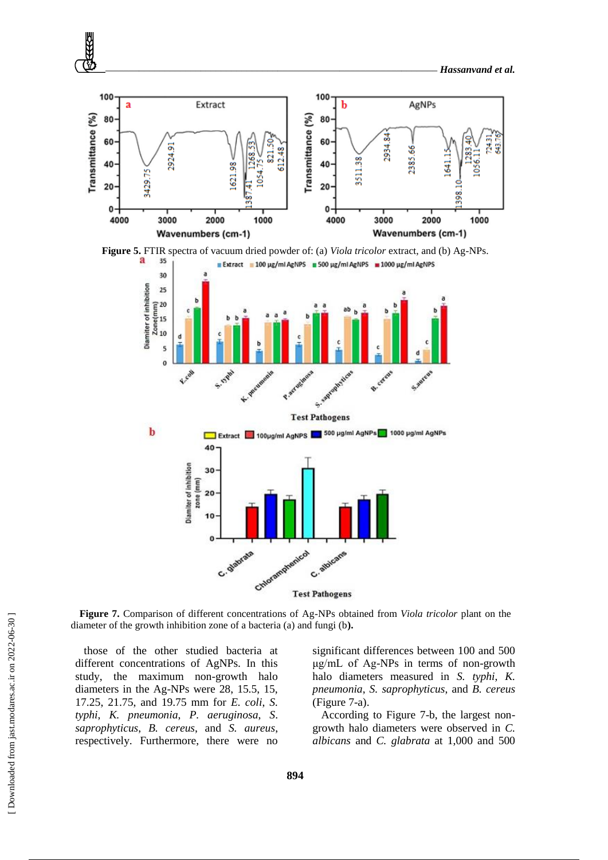







**Figure 7.** Comparison of different concentrations of Ag-NPs obtained from *Viola tricolor* plant on the diameter of the growth inhibition zone of a bacteria (a) and fungi (b**).**

those of the other studied bacteria at different concentrations of AgNPs. In this study, the maximum non-growth halo diameters in the Ag-NPs were 28, 15.5, 15, 17.25, 21.75, and 19.75 mm for *E. coli*, *S. typhi*, *K. pneumonia*, *P. aeruginosa*, *S*. *saprophyticus*, *B. cereus*, and *S. aureus*, respectively. Furthermore, there were no significant differences between 100 and 500 μg/mL of Ag-NPs in terms of non-growth halo diameters measured in *S. typhi*, *K. pneumonia*, *S. saprophyticus*, and *B. cereus* (Figure 7-a).

According to Figure 7-b, the largest nongrowth halo diameters were observed in *C. albicans* and *C. glabrata* at 1,000 and 500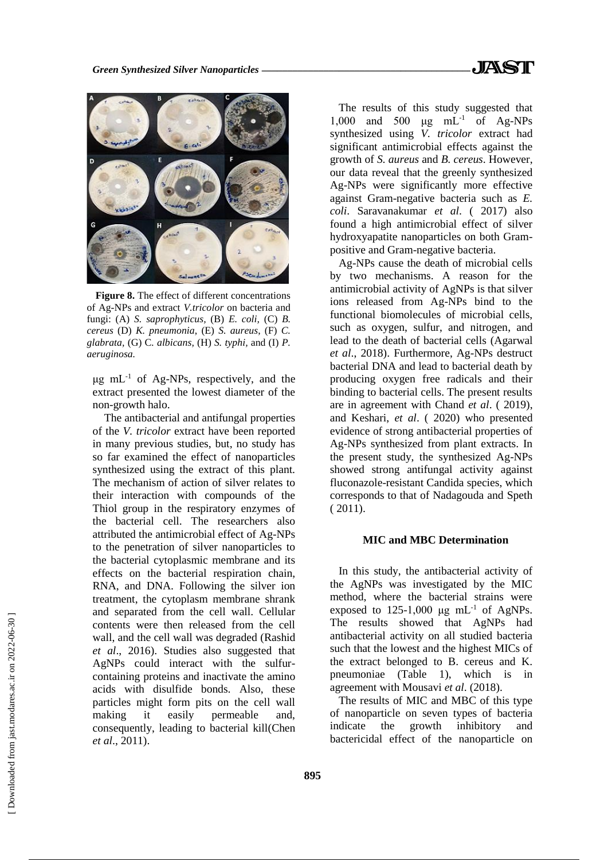

**Figure 8.** The effect of different concentrations of Ag-NPs and extract *V.tricolor* on bacteria and fungi: (A) *S. saprophyticus,* (B) *E. coli,* (C) *B. cereus* (D) *K. pneumonia*, (E) *S. aureus*, (F) *C. glabrata,* (G) C*. albicans,* (H) *S. typhi,* and (I) *P. aeruginosa.*

 $\mu$ g mL<sup>-1</sup> of Ag-NPs, respectively, and the extract presented the lowest diameter of the non-growth halo.

The antibacterial and antifungal properties of the *V. tricolor* extract have been reported in many previous studies, but, no study has so far examined the effect of nanoparticles synthesized using the extract of this plant. The mechanism of action of silver relates to their interaction with compounds of the Thiol group in the respiratory enzymes of the bacterial cell. The researchers also attributed the antimicrobial effect of Ag-NPs to the penetration of silver nanoparticles to the bacterial cytoplasmic membrane and its effects on the bacterial respiration chain, RNA, and DNA. Following the silver ion treatment, the cytoplasm membrane shrank and separated from the cell wall. Cellular contents were then released from the cell wall, and the cell wall was degraded (Rashid *et al*., 2016). Studies also suggested that AgNPs could interact with the sulfurcontaining proteins and inactivate the amino acids with disulfide bonds. Also, these particles might form pits on the cell wall making it easily permeable and, consequently, leading to bacterial kill(Chen *et al*., 2011).

The results of this study suggested that 1,000 and 500 μg mL-1 of Ag-NPs synthesized using *V. tricolor* extract had significant antimicrobial effects against the growth of *S. aureus* and *B. cereus*. However, our data reveal that the greenly synthesized Ag-NPs were significantly more effective against Gram-negative bacteria such as *E. coli*. Saravanakumar *et al*. ( 2017) also found a high antimicrobial effect of silver hydroxyapatite nanoparticles on both Grampositive and Gram-negative bacteria.

Ag-NPs cause the death of microbial cells by two mechanisms. A reason for the antimicrobial activity of AgNPs is that silver ions released from Ag-NPs bind to the functional biomolecules of microbial cells, such as oxygen, sulfur, and nitrogen, and lead to the death of bacterial cells (Agarwal *et al*., 2018). Furthermore, Ag-NPs destruct bacterial DNA and lead to bacterial death by producing oxygen free radicals and their binding to bacterial cells. The present results are in agreement with Chand *et al*. ( 2019), and Keshari, *et al*. ( 2020) who presented evidence of strong antibacterial properties of Ag-NPs synthesized from plant extracts. In the present study, the synthesized Ag-NPs showed strong antifungal activity against fluconazole-resistant Candida species, which corresponds to that of Nadagouda and Speth ( 2011).

# **MIC and MBC Determination**

In this study, the antibacterial activity of the AgNPs was investigated by the MIC method, where the bacterial strains were exposed to  $125-1,000$  μg mL<sup>-1</sup> of AgNPs. The results showed that AgNPs had antibacterial activity on all studied bacteria such that the lowest and the highest MICs of the extract belonged to B. cereus and K. pneumoniae (Table 1), which is in agreement with Mousavi *et al*. (2018).

The results of MIC and MBC of this type of nanoparticle on seven types of bacteria indicate the growth inhibitory and bactericidal effect of the nanoparticle on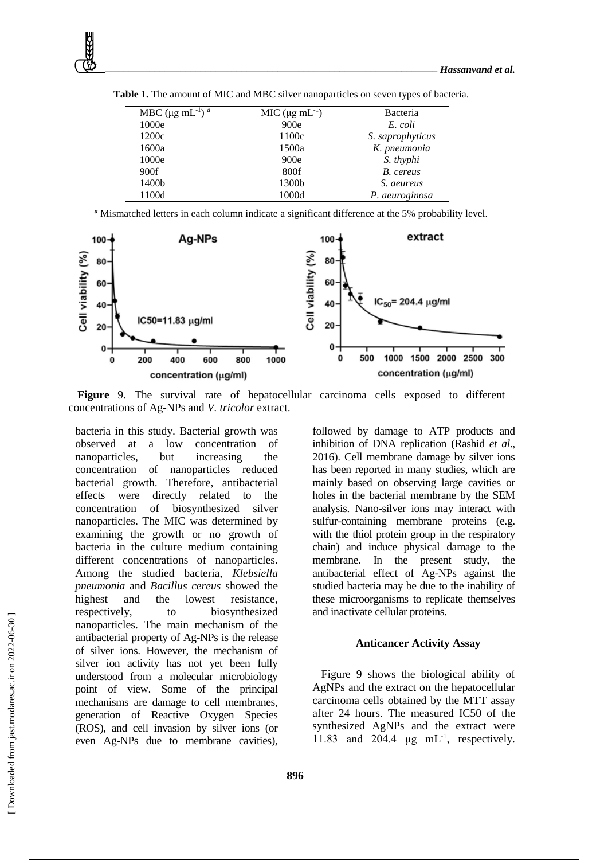| MBC ( $\mu$ g mL <sup>-1</sup> ) <sup>a</sup> | MIC $(\mu g \text{ mL}^{-1})$ | Bacteria         |
|-----------------------------------------------|-------------------------------|------------------|
| 1000e                                         | 900e                          | E. coli          |
| 1200c                                         | 1100c                         | S. saprophyticus |
| 1600a                                         | 1500a                         | K. pneumonia     |
| 1000e                                         | 900e                          | S. thyphi        |
| 900f                                          | 800f                          | B. cereus        |
| 1400b                                         | 1300b                         | S. aeureus       |
| 1100d                                         | 1000d                         | P. aeuroginosa   |

**Table 1.** The amount of MIC and MBC silver nanoparticles on seven types of bacteria.

*<sup>a</sup>* Mismatched letters in each column indicate a significant difference at the 5% probability level.



**Figure** 9. The survival rate of hepatocellular carcinoma cells exposed to different concentrations of Ag-NPs and *V. tricolor* extract.

bacteria in this study. Bacterial growth was observed at a low concentration of nanoparticles, but increasing the concentration of nanoparticles reduced bacterial growth. Therefore, antibacterial effects were directly related to the concentration of biosynthesized silver nanoparticles. The MIC was determined by examining the growth or no growth of bacteria in the culture medium containing different concentrations of nanoparticles. Among the studied bacteria, *Klebsiella pneumonia* and *Bacillus cereus* showed the highest and the lowest resistance, respectively, to biosynthesized nanoparticles. The main mechanism of the antibacterial property of Ag-NPs is the release of silver ions. However, the mechanism of silver ion activity has not yet been fully understood from a molecular microbiology point of view. Some of the principal mechanisms are damage to cell membranes, generation of Reactive Oxygen Species (ROS), and cell invasion by silver ions (or even Ag-NPs due to membrane cavities),

followed by damage to ATP products and inhibition of DNA replication (Rashid *et al*., 2016). Cell membrane damage by silver ions has been reported in many studies, which are mainly based on observing large cavities or holes in the bacterial membrane by the SEM analysis. Nano-silver ions may interact with sulfur-containing membrane proteins (e.g. with the thiol protein group in the respiratory chain) and induce physical damage to the membrane. In the present study, the antibacterial effect of Ag-NPs against the studied bacteria may be due to the inability of these microorganisms to replicate themselves and inactivate cellular proteins.

# **Anticancer Activity Assay**

Figure 9 shows the biological ability of AgNPs and the extract on the hepatocellular carcinoma cells obtained by the MTT assay after 24 hours. The measured IC50 of the synthesized AgNPs and the extract were 11.83 and 204.4  $\mu$ g mL<sup>-1</sup>, respectively.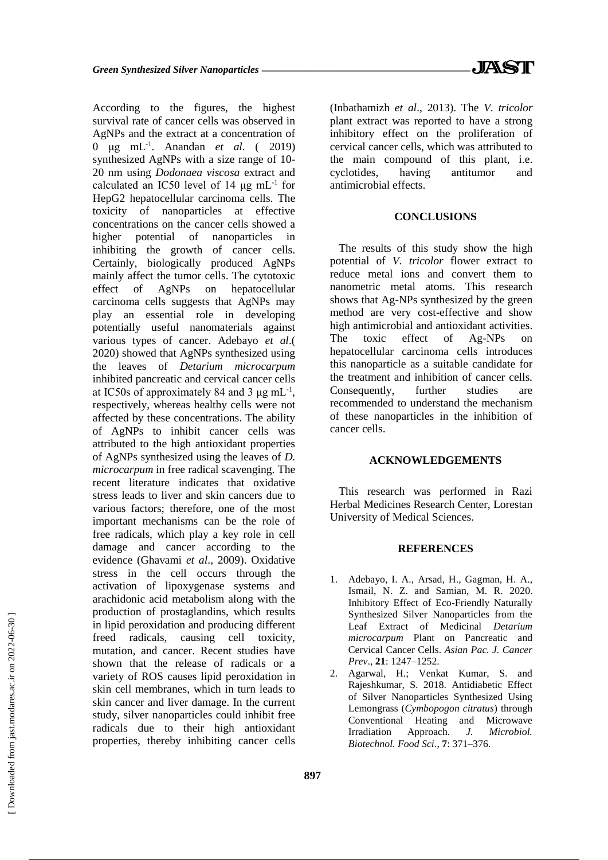According to the figures, the highest survival rate of cancer cells was observed in AgNPs and the extract at a concentration of 0 μg mL-1 . Anandan *et al*. ( 2019) synthesized AgNPs with a size range of 10- 20 nm using *Dodonaea viscosa* extract and calculated an IC50 level of 14  $\mu$ g mL<sup>-1</sup> for HepG2 hepatocellular carcinoma cells. The toxicity of nanoparticles at effective concentrations on the cancer cells showed a higher potential of nanoparticles in inhibiting the growth of cancer cells. Certainly, biologically produced AgNPs mainly affect the tumor cells. The cytotoxic effect of AgNPs on hepatocellular carcinoma cells suggests that AgNPs may play an essential role in developing potentially useful nanomaterials against various types of cancer. Adebayo *et al*.( 2020) showed that AgNPs synthesized using the leaves of *Detarium microcarpum* inhibited pancreatic and cervical cancer cells at IC50s of approximately 84 and 3  $\mu$ g mL<sup>-1</sup>, respectively, whereas healthy cells were not affected by these concentrations. The ability of AgNPs to inhibit cancer cells was attributed to the high antioxidant properties of AgNPs synthesized using the leaves of *D. microcarpum* in free radical scavenging. The recent literature indicates that oxidative stress leads to liver and skin cancers due to various factors; therefore, one of the most important mechanisms can be the role of free radicals, which play a key role in cell damage and cancer according to the evidence (Ghavami *et al*., 2009). Oxidative stress in the cell occurs through the activation of lipoxygenase systems and arachidonic acid metabolism along with the production of prostaglandins, which results in lipid peroxidation and producing different freed radicals, causing cell toxicity, mutation, and cancer. Recent studies have shown that the release of radicals or a variety of ROS causes lipid peroxidation in skin cell membranes, which in turn leads to skin cancer and liver damage. In the current study, silver nanoparticles could inhibit free radicals due to their high antioxidant properties, thereby inhibiting cancer cells

(Inbathamizh *et al*., 2013). The *V. tricolor*  plant extract was reported to have a strong inhibitory effect on the proliferation of cervical cancer cells, which was attributed to the main compound of this plant, i.e. cyclotides, having antitumor and antimicrobial effects.

# **CONCLUSIONS**

The results of this study show the high potential of *V. tricolor* flower extract to reduce metal ions and convert them to nanometric metal atoms. This research shows that Ag-NPs synthesized by the green method are very cost-effective and show high antimicrobial and antioxidant activities. The toxic effect of Ag-NPs on hepatocellular carcinoma cells introduces this nanoparticle as a suitable candidate for the treatment and inhibition of cancer cells. Consequently, further studies are recommended to understand the mechanism of these nanoparticles in the inhibition of cancer cells.

# **ACKNOWLEDGEMENTS**

This research was performed in Razi Herbal Medicines Research Center, Lorestan University of Medical Sciences.

# **REFERENCES**

- 1. Adebayo, I. A., Arsad, H., Gagman, H. A., Ismail, N. Z. and Samian, M. R. 2020. Inhibitory Effect of Eco-Friendly Naturally Synthesized Silver Nanoparticles from the Leaf Extract of Medicinal *Detarium microcarpum* Plant on Pancreatic and Cervical Cancer Cells. *Asian Pac. J. Cancer Prev*., **21**: 1247–1252.
- 2. Agarwal, H.; Venkat Kumar, S. and Rajeshkumar, S. 2018. Antidiabetic Effect of Silver Nanoparticles Synthesized Using Lemongrass (*Cymbopogon citratus*) through Conventional Heating and Microwave Irradiation Approach. *J. Microbiol. Biotechnol. Food Sci*., **7**: 371–376.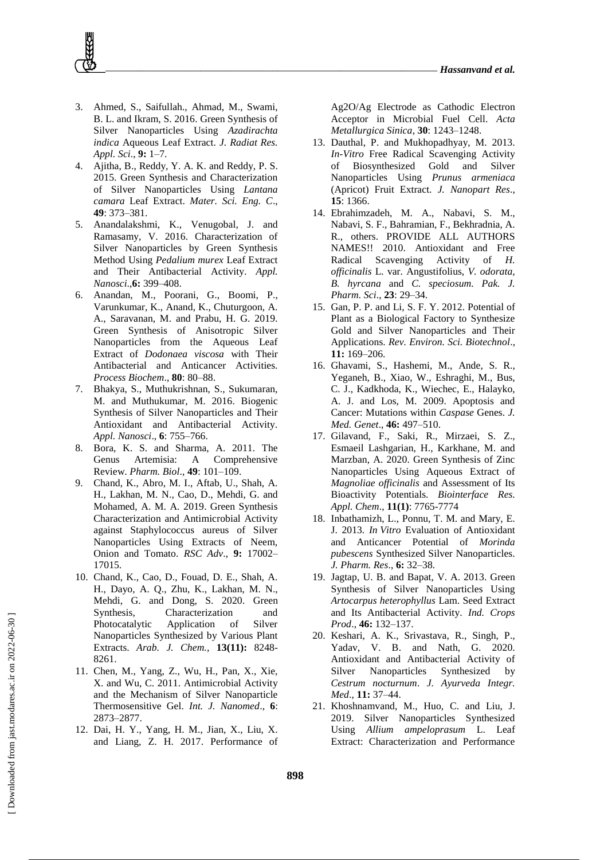- 3. Ahmed, S., Saifullah., Ahmad, M., Swami, B. L. and Ikram, S. 2016. Green Synthesis of Silver Nanoparticles Using *Azadirachta indica* Aqueous Leaf Extract. *J. Radiat Res. Appl. Sci*., **9:** 1–7.
- 4. Ajitha, B., Reddy, Y. A. K. and Reddy, P. S. 2015. Green Synthesis and Characterization of Silver Nanoparticles Using *Lantana camara* Leaf Extract. *Mater. Sci. Eng. C*., **49**: 373–381.
- 5. Anandalakshmi, K., Venugobal, J. and Ramasamy, V. 2016. Characterization of Silver Nanoparticles by Green Synthesis Method Using *Pedalium murex* Leaf Extract and Their Antibacterial Activity. *Appl. Nanosci*.,**6:** 399–408.
- 6. Anandan, M., Poorani, G., Boomi, P., Varunkumar, K., Anand, K., Chuturgoon, A. A., Saravanan, M. and Prabu, H. G. 2019. Green Synthesis of Anisotropic Silver Nanoparticles from the Aqueous Leaf Extract of *Dodonaea viscosa* with Their Antibacterial and Anticancer Activities. *Process Biochem*., **80**: 80–88.
- 7. Bhakya, S., Muthukrishnan, S., Sukumaran, M. and Muthukumar, M. 2016. Biogenic Synthesis of Silver Nanoparticles and Their Antioxidant and Antibacterial Activity. *Appl. Nanosci*., **6**: 755–766.
- 8. Bora, K. S. and Sharma, A. 2011. The Genus Artemisia: A Comprehensive Review. *Pharm. Biol*., **49**: 101–109.
- 9. Chand, K., Abro, M. I., Aftab, U., Shah, A. H., Lakhan, M. N., Cao, D., Mehdi, G. and Mohamed, A. M. A. 2019. Green Synthesis Characterization and Antimicrobial Activity against Staphylococcus aureus of Silver Nanoparticles Using Extracts of Neem, Onion and Tomato. *RSC Adv*., **9:** 17002– 17015.
- 10. Chand, K., Cao, D., Fouad, D. E., Shah, A. H., Dayo, A. Q., Zhu, K., Lakhan, M. N., Mehdi, G. and Dong, S. 2020. Green Synthesis, Characterization and Photocatalytic Application of Silver Nanoparticles Synthesized by Various Plant Extracts. *Arab. J. Chem.,* **13(11):** 8248- 8261.
- 11. Chen, M., Yang, Z., Wu, H., Pan, X., Xie, X. and Wu, C. 2011. Antimicrobial Activity and the Mechanism of Silver Nanoparticle Thermosensitive Gel. *Int. J. Nanomed*., **6**: 2873–2877.
- 12. Dai, H. Y., Yang, H. M., Jian, X., Liu, X. and Liang, Z. H. 2017. Performance of

Ag2O/Ag Electrode as Cathodic Electron Acceptor in Microbial Fuel Cell. *Acta Metallurgica Sinica*, **30**: 1243–1248.

- 13. Dauthal, P. and Mukhopadhyay, M. 2013. *In-Vitro* Free Radical Scavenging Activity of Biosynthesized Gold and Silver Nanoparticles Using *Prunus armeniaca* (Apricot) Fruit Extract. *J. Nanopart Res*., **15**: 1366.
- 14. Ebrahimzadeh, M. A., Nabavi, S. M., Nabavi, S. F., Bahramian, F., Bekhradnia, A. R., others. PROVIDE ALL AUTHORS NAMES!! 2010. Antioxidant and Free Radical Scavenging Activity of *H. officinalis* L. var. Angustifolius, *V. odorata, B. hyrcana* and *C. speciosum. Pak. J. Pharm. Sci*., **23**: 29–34.
- 15. Gan, P. P. and Li, S. F. Y. 2012. Potential of Plant as a Biological Factory to Synthesize Gold and Silver Nanoparticles and Their Applications. *Rev. Environ. Sci. Biotechnol*., **11:** 169–206.
- 16. Ghavami, S., Hashemi, M., Ande, S. R., Yeganeh, B., Xiao, W., Eshraghi, M., Bus, C. J., Kadkhoda, K., Wiechec, E., Halayko, A. J. and Los, M. 2009. Apoptosis and Cancer: Mutations within *Caspase* Genes. *J. Med. Genet*., **46:** 497–510.
- 17. Gilavand, F., Saki, R., Mirzaei, S. Z., Esmaeil Lashgarian, H., Karkhane, M. and Marzban, A. 2020. Green Synthesis of Zinc Nanoparticles Using Aqueous Extract of *Magnoliae officinalis* and Assessment of Its Bioactivity Potentials. *Biointerface Res. Appl. Chem*., **11(1)**: 7765-7774
- 18. Inbathamizh, L., Ponnu, T. M. and Mary, E. J. 2013. *In Vitro* Evaluation of Antioxidant and Anticancer Potential of *Morinda pubescens* Synthesized Silver Nanoparticles. *J. Pharm. Res*., **6:** 32–38.
- 19. Jagtap, U. B. and Bapat, V. A. 2013. Green Synthesis of Silver Nanoparticles Using *Artocarpus heterophyllus* Lam. Seed Extract and Its Antibacterial Activity. *Ind. Crops Prod*., **46:** 132–137.
- 20. Keshari, A. K., Srivastava, R., Singh, P., Yadav, V. B. and Nath, G. 2020. Antioxidant and Antibacterial Activity of Silver Nanoparticles Synthesized by *Cestrum nocturnum*. *J. Ayurveda Integr. Med*., **11:** 37–44.
- 21. Khoshnamvand, M., Huo, C. and Liu, J. 2019. Silver Nanoparticles Synthesized Using *Allium ampeloprasum* L. Leaf Extract: Characterization and Performance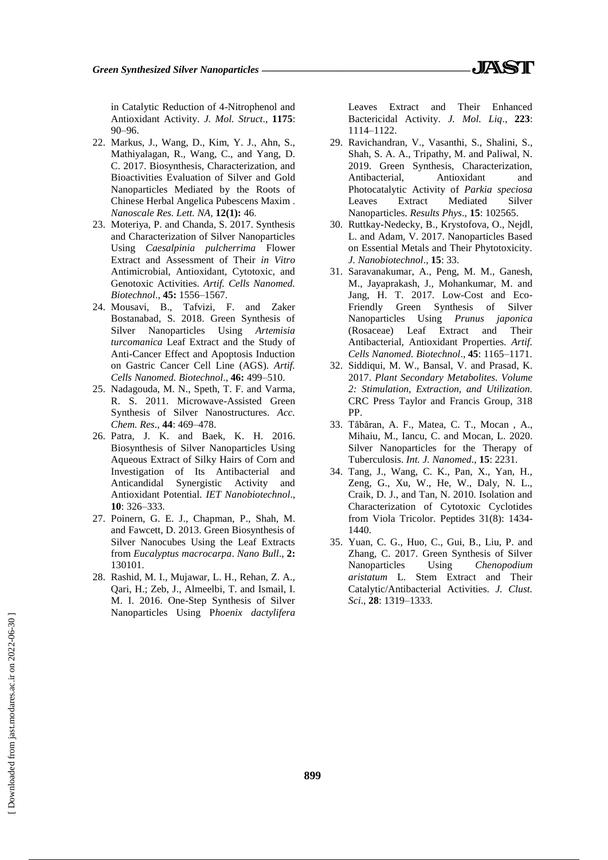in Catalytic Reduction of 4-Nitrophenol and Antioxidant Activity. *J. Mol. Struct*., **1175**: 90–96.

- 22. Markus, J., Wang, D., Kim, Y. J., Ahn, S., Mathiyalagan, R., Wang, C., and Yang, D. C. 2017. Biosynthesis, Characterization, and Bioactivities Evaluation of Silver and Gold Nanoparticles Mediated by the Roots of Chinese Herbal Angelica Pubescens Maxim . *Nanoscale Res. Lett. NA,* **12(1):** 46.
- 23. Moteriya, P. and Chanda, S. 2017. Synthesis and Characterization of Silver Nanoparticles Using *Caesalpinia pulcherrima* Flower Extract and Assessment of Their *in Vitro*  Antimicrobial, Antioxidant, Cytotoxic, and Genotoxic Activities. *Artif. Cells Nanomed. Biotechnol*., **45:** 1556–1567.
- 24. Mousavi, B., Tafvizi, F. and Zaker Bostanabad, S. 2018. Green Synthesis of Silver Nanoparticles Using *Artemisia turcomanica* Leaf Extract and the Study of Anti-Cancer Effect and Apoptosis Induction on Gastric Cancer Cell Line (AGS). *Artif. Cells Nanomed. Biotechnol*., **46:** 499–510.
- 25. Nadagouda, M. N., Speth, T. F. and Varma, R. S. 2011. Microwave-Assisted Green Synthesis of Silver Nanostructures. *Acc. Chem. Res*., **44**: 469–478.
- 26. Patra, J. K. and Baek, K. H. 2016. Biosynthesis of Silver Nanoparticles Using Aqueous Extract of Silky Hairs of Corn and Investigation of Its Antibacterial and Anticandidal Synergistic Activity and Antioxidant Potential. *IET Nanobiotechnol*., **10**: 326–333.
- 27. Poinern, G. E. J., Chapman, P., Shah, M. and Fawcett, D. 2013. Green Biosynthesis of Silver Nanocubes Using the Leaf Extracts from *Eucalyptus macrocarpa*. *Nano Bull*., **2:** 130101.
- 28. Rashid, M. I., Mujawar, L. H., Rehan, Z. A., Qari, H.; Zeb, J., Almeelbi, T. and Ismail, I. M. I. 2016. One-Step Synthesis of Silver Nanoparticles Using P*hoenix dactylifera*

Leaves Extract and Their Enhanced Bactericidal Activity. *J. Mol. Liq*., **223**: 1114–1122.

- 29. Ravichandran, V., Vasanthi, S., Shalini, S., Shah, S. A. A., Tripathy, M. and Paliwal, N. 2019. Green Synthesis, Characterization, Antibacterial, Antioxidant and Photocatalytic Activity of *Parkia speciosa* Leaves Extract Mediated Silver Nanoparticles. *Results Phys*., **15**: 102565.
- 30. Ruttkay-Nedecky, B., Krystofova, O., Nejdl, L. and Adam, V. 2017. Nanoparticles Based on Essential Metals and Their Phytotoxicity. *J. Nanobiotechnol*., **15**: 33.
- 31. Saravanakumar, A., Peng, M. M., Ganesh, M., Jayaprakash, J., Mohankumar, M. and Jang, H. T. 2017. Low-Cost and Eco-Friendly Green Synthesis of Silver Nanoparticles Using *Prunus japonica* (Rosaceae) Leaf Extract and Their Antibacterial, Antioxidant Properties. *Artif. Cells Nanomed. Biotechnol*., **45**: 1165–1171.
- 32. Siddiqui, M. W., Bansal, V. and Prasad, K. 2017. *Plant Secondary Metabolites. Volume 2: Stimulation, Extraction, and Utilization.* CRC Press Taylor and Francis Group, 318 PP.
- 33. Tăbăran, A. F., Matea, C. T., Mocan , A., Mihaiu, M., Iancu, C. and Mocan, L. 2020. Silver Nanoparticles for the Therapy of Tuberculosis. *Int. J. Nanomed*., **15**: 2231.
- 34. Tang, J., Wang, C. K., Pan, X., Yan, H., Zeng, G., Xu, W., He, W., Daly, N. L., Craik, D. J., and Tan, N. 2010. Isolation and Characterization of Cytotoxic Cyclotides from Viola Tricolor. Peptides 31(8): 1434- 1440.
- 35. Yuan, C. G., Huo, C., Gui, B., Liu, P. and Zhang, C. 2017. Green Synthesis of Silver Nanoparticles Using *Chenopodium aristatum* L. Stem Extract and Their Catalytic/Antibacterial Activities. *J. Clust. Sci*., **28**: 1319–1333.